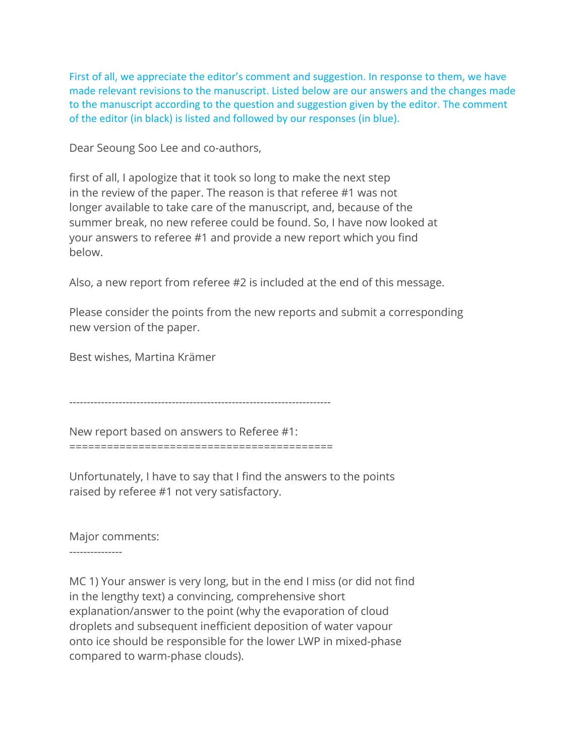First of all, we appreciate the editor's comment and suggestion. In response to them, we have made relevant revisions to the manuscript. Listed below are our answers and the changes made to the manuscript according to the question and suggestion given by the editor. The comment of the editor (in black) is listed and followed by our responses (in blue).

Dear Seoung Soo Lee and co-authors,

first of all, I apologize that it took so long to make the next step in the review of the paper. The reason is that referee #1 was not longer available to take care of the manuscript, and, because of the summer break, no new referee could be found. So, I have now looked at your answers to referee #1 and provide a new report which you find below.

Also, a new report from referee #2 is included at the end of this message.

Please consider the points from the new reports and submit a corresponding new version of the paper.

Best wishes, Martina Krämer

--------------------------------------------------------------------------

New report based on answers to Referee #1: ==========================================

Unfortunately, I have to say that I find the answers to the points raised by referee #1 not very satisfactory.

Major comments:

---------------

MC 1) Your answer is very long, but in the end I miss (or did not find in the lengthy text) a convincing, comprehensive short explanation/answer to the point (why the evaporation of cloud droplets and subsequent inefficient deposition of water vapour onto ice should be responsible for the lower LWP in mixed-phase compared to warm-phase clouds).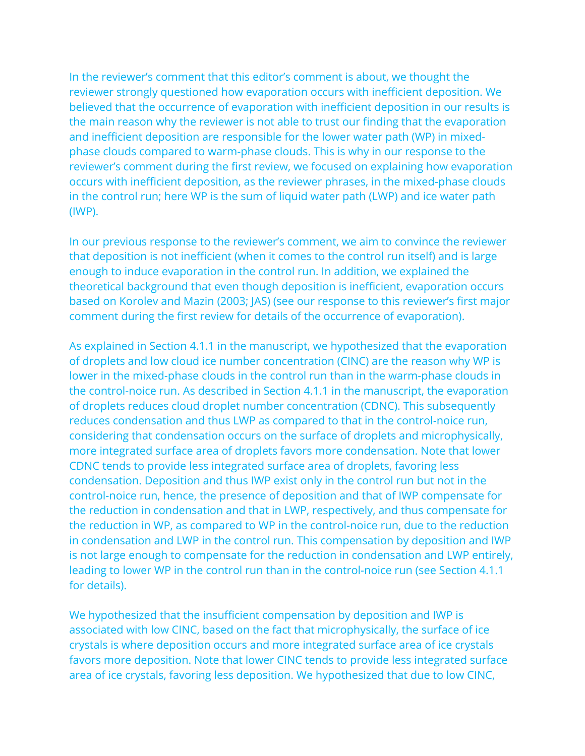In the reviewer's comment that this editor's comment is about, we thought the reviewer strongly questioned how evaporation occurs with inefficient deposition. We believed that the occurrence of evaporation with inefficient deposition in our results is the main reason why the reviewer is not able to trust our finding that the evaporation and inefficient deposition are responsible for the lower water path (WP) in mixedphase clouds compared to warm-phase clouds. This is why in our response to the reviewer's comment during the first review, we focused on explaining how evaporation occurs with inefficient deposition, as the reviewer phrases, in the mixed-phase clouds in the control run; here WP is the sum of liquid water path (LWP) and ice water path (IWP).

In our previous response to the reviewer's comment, we aim to convince the reviewer that deposition is not inefficient (when it comes to the control run itself) and is large enough to induce evaporation in the control run. In addition, we explained the theoretical background that even though deposition is inefficient, evaporation occurs based on Korolev and Mazin (2003; JAS) (see our response to this reviewer's first major comment during the first review for details of the occurrence of evaporation).

As explained in Section 4.1.1 in the manuscript, we hypothesized that the evaporation of droplets and low cloud ice number concentration (CINC) are the reason why WP is lower in the mixed-phase clouds in the control run than in the warm-phase clouds in the control-noice run. As described in Section 4.1.1 in the manuscript, the evaporation of droplets reduces cloud droplet number concentration (CDNC). This subsequently reduces condensation and thus LWP as compared to that in the control-noice run, considering that condensation occurs on the surface of droplets and microphysically, more integrated surface area of droplets favors more condensation. Note that lower CDNC tends to provide less integrated surface area of droplets, favoring less condensation. Deposition and thus IWP exist only in the control run but not in the control-noice run, hence, the presence of deposition and that of IWP compensate for the reduction in condensation and that in LWP, respectively, and thus compensate for the reduction in WP, as compared to WP in the control-noice run, due to the reduction in condensation and LWP in the control run. This compensation by deposition and IWP is not large enough to compensate for the reduction in condensation and LWP entirely, leading to lower WP in the control run than in the control-noice run (see Section 4.1.1 for details).

We hypothesized that the insufficient compensation by deposition and IWP is associated with low CINC, based on the fact that microphysically, the surface of ice crystals is where deposition occurs and more integrated surface area of ice crystals favors more deposition. Note that lower CINC tends to provide less integrated surface area of ice crystals, favoring less deposition. We hypothesized that due to low CINC,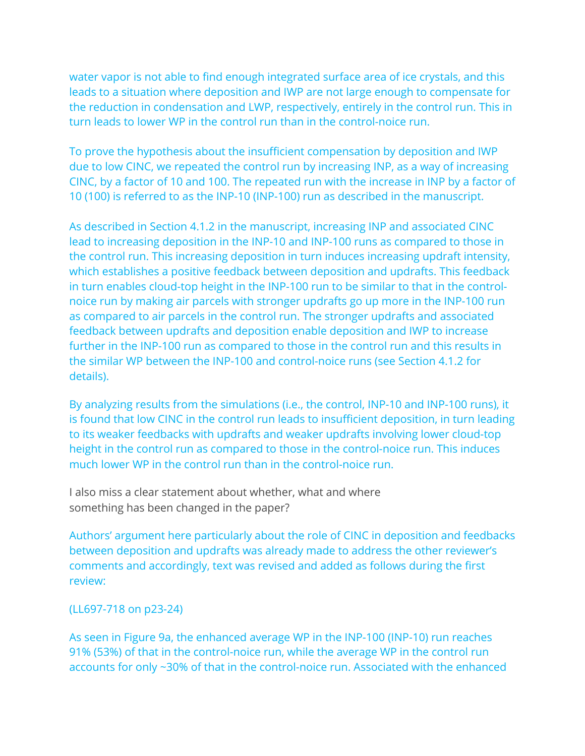water vapor is not able to find enough integrated surface area of ice crystals, and this leads to a situation where deposition and IWP are not large enough to compensate for the reduction in condensation and LWP, respectively, entirely in the control run. This in turn leads to lower WP in the control run than in the control-noice run.

To prove the hypothesis about the insufficient compensation by deposition and IWP due to low CINC, we repeated the control run by increasing INP, as a way of increasing CINC, by a factor of 10 and 100. The repeated run with the increase in INP by a factor of 10 (100) is referred to as the INP-10 (INP-100) run as described in the manuscript.

As described in Section 4.1.2 in the manuscript, increasing INP and associated CINC lead to increasing deposition in the INP-10 and INP-100 runs as compared to those in the control run. This increasing deposition in turn induces increasing updraft intensity, which establishes a positive feedback between deposition and updrafts. This feedback in turn enables cloud-top height in the INP-100 run to be similar to that in the controlnoice run by making air parcels with stronger updrafts go up more in the INP-100 run as compared to air parcels in the control run. The stronger updrafts and associated feedback between updrafts and deposition enable deposition and IWP to increase further in the INP-100 run as compared to those in the control run and this results in the similar WP between the INP-100 and control-noice runs (see Section 4.1.2 for details).

By analyzing results from the simulations (i.e., the control, INP-10 and INP-100 runs), it is found that low CINC in the control run leads to insufficient deposition, in turn leading to its weaker feedbacks with updrafts and weaker updrafts involving lower cloud-top height in the control run as compared to those in the control-noice run. This induces much lower WP in the control run than in the control-noice run.

I also miss a clear statement about whether, what and where something has been changed in the paper?

Authors' argument here particularly about the role of CINC in deposition and feedbacks between deposition and updrafts was already made to address the other reviewer's comments and accordingly, text was revised and added as follows during the first review:

### (LL697-718 on p23-24)

As seen in Figure 9a, the enhanced average WP in the INP-100 (INP-10) run reaches 91% (53%) of that in the control-noice run, while the average WP in the control run accounts for only ~30% of that in the control-noice run. Associated with the enhanced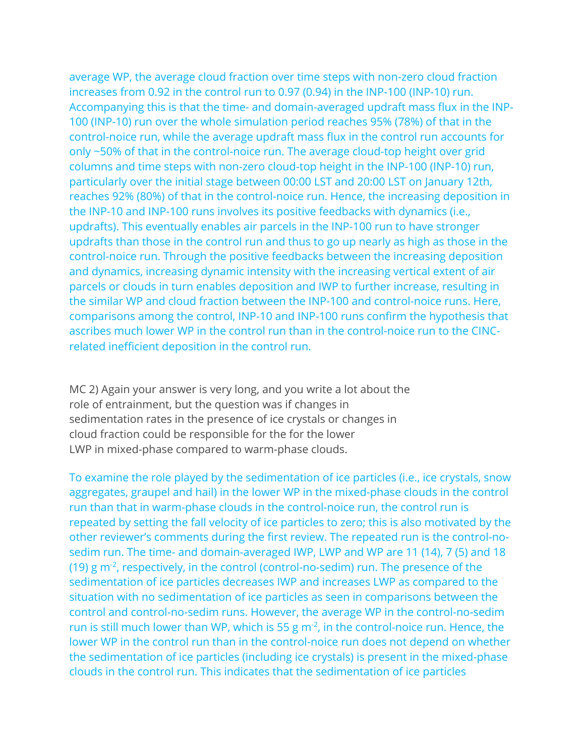average WP, the average cloud fraction over time steps with non-zero cloud fraction increases from 0.92 in the control run to 0.97 (0.94) in the INP-100 (INP-10) run. Accompanying this is that the time- and domain-averaged updraft mass flux in the INP-100 (INP-10) run over the whole simulation period reaches 95% (78%) of that in the control-noice run, while the average updraft mass flux in the control run accounts for only ~50% of that in the control-noice run. The average cloud-top height over grid columns and time steps with non-zero cloud-top height in the INP-100 (INP-10) run, particularly over the initial stage between 00:00 LST and 20:00 LST on January 12th, reaches 92% (80%) of that in the control-noice run. Hence, the increasing deposition in the INP-10 and INP-100 runs involves its positive feedbacks with dynamics (i.e., updrafts). This eventually enables air parcels in the INP-100 run to have stronger updrafts than those in the control run and thus to go up nearly as high as those in the control-noice run. Through the positive feedbacks between the increasing deposition and dynamics, increasing dynamic intensity with the increasing vertical extent of air parcels or clouds in turn enables deposition and IWP to further increase, resulting in the similar WP and cloud fraction between the INP-100 and control-noice runs. Here, comparisons among the control, INP-10 and INP-100 runs confirm the hypothesis that ascribes much lower WP in the control run than in the control-noice run to the CINCrelated inefficient deposition in the control run.

MC 2) Again your answer is very long, and you write a lot about the role of entrainment, but the question was if changes in sedimentation rates in the presence of ice crystals or changes in cloud fraction could be responsible for the for the lower LWP in mixed-phase compared to warm-phase clouds.

To examine the role played by the sedimentation of ice particles (i.e., ice crystals, snow aggregates, graupel and hail) in the lower WP in the mixed-phase clouds in the control run than that in warm-phase clouds in the control-noice run, the control run is repeated by setting the fall velocity of ice particles to zero; this is also motivated by the other reviewer's comments during the first review. The repeated run is the control-nosedim run. The time- and domain-averaged IWP, LWP and WP are 11 (14), 7 (5) and 18 (19)  $g$  m<sup>-2</sup>, respectively, in the control (control-no-sedim) run. The presence of the sedimentation of ice particles decreases IWP and increases LWP as compared to the situation with no sedimentation of ice particles as seen in comparisons between the control and control-no-sedim runs. However, the average WP in the control-no-sedim run is still much lower than WP, which is 55 g  $m<sup>2</sup>$ , in the control-noice run. Hence, the lower WP in the control run than in the control-noice run does not depend on whether the sedimentation of ice particles (including ice crystals) is present in the mixed-phase clouds in the control run. This indicates that the sedimentation of ice particles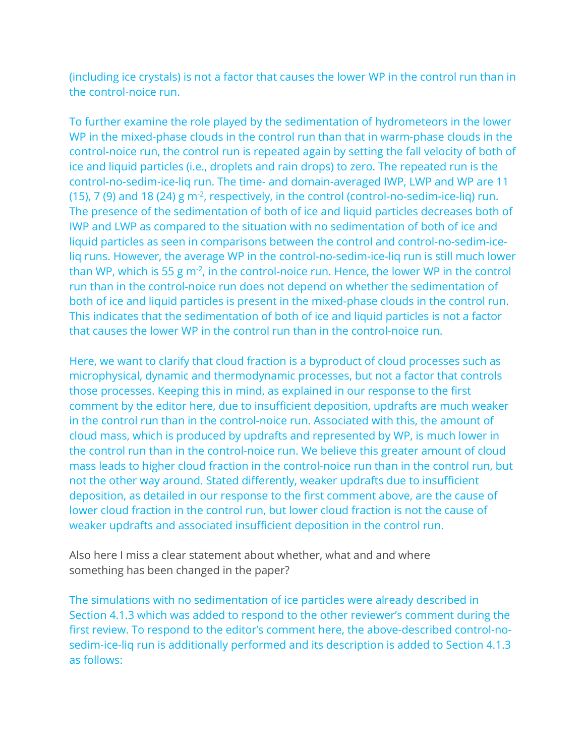(including ice crystals) is not a factor that causes the lower WP in the control run than in the control-noice run.

To further examine the role played by the sedimentation of hydrometeors in the lower WP in the mixed-phase clouds in the control run than that in warm-phase clouds in the control-noice run, the control run is repeated again by setting the fall velocity of both of ice and liquid particles (i.e., droplets and rain drops) to zero. The repeated run is the control-no-sedim-ice-liq run. The time- and domain-averaged IWP, LWP and WP are 11 (15), 7 (9) and 18 (24)  $g$  m<sup>-2</sup>, respectively, in the control (control-no-sedim-ice-liq) run. The presence of the sedimentation of both of ice and liquid particles decreases both of IWP and LWP as compared to the situation with no sedimentation of both of ice and liquid particles as seen in comparisons between the control and control-no-sedim-iceliq runs. However, the average WP in the control-no-sedim-ice-liq run is still much lower than WP, which is 55 g m<sup>-2</sup>, in the control-noice run. Hence, the lower WP in the control run than in the control-noice run does not depend on whether the sedimentation of both of ice and liquid particles is present in the mixed-phase clouds in the control run. This indicates that the sedimentation of both of ice and liquid particles is not a factor that causes the lower WP in the control run than in the control-noice run.

Here, we want to clarify that cloud fraction is a byproduct of cloud processes such as microphysical, dynamic and thermodynamic processes, but not a factor that controls those processes. Keeping this in mind, as explained in our response to the first comment by the editor here, due to insufficient deposition, updrafts are much weaker in the control run than in the control-noice run. Associated with this, the amount of cloud mass, which is produced by updrafts and represented by WP, is much lower in the control run than in the control-noice run. We believe this greater amount of cloud mass leads to higher cloud fraction in the control-noice run than in the control run, but not the other way around. Stated differently, weaker updrafts due to insufficient deposition, as detailed in our response to the first comment above, are the cause of lower cloud fraction in the control run, but lower cloud fraction is not the cause of weaker updrafts and associated insufficient deposition in the control run.

Also here I miss a clear statement about whether, what and and where something has been changed in the paper?

The simulations with no sedimentation of ice particles were already described in Section 4.1.3 which was added to respond to the other reviewer's comment during the first review. To respond to the editor's comment here, the above-described control-nosedim-ice-liq run is additionally performed and its description is added to Section 4.1.3 as follows: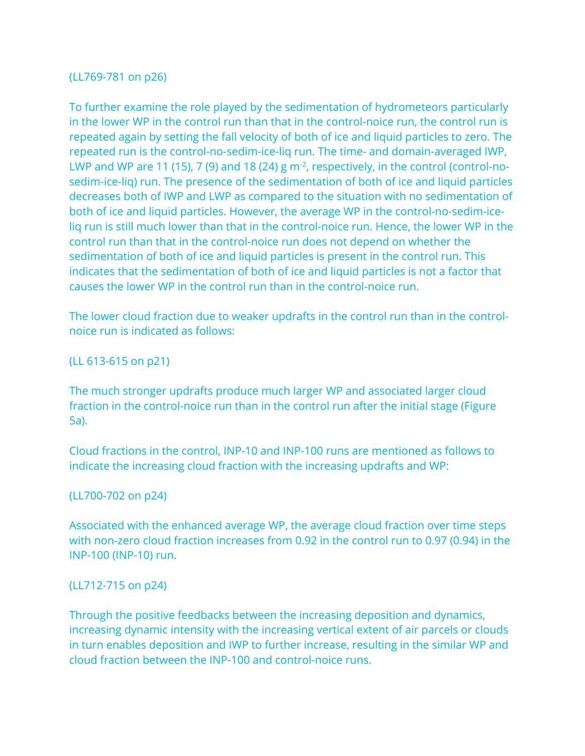# (LL769-781 on p26)

To further examine the role played by the sedimentation of hydrometeors particularly in the lower WP in the control run than that in the control-noice run, the control run is repeated again by setting the fall velocity of both of ice and liquid particles to zero. The repeated run is the control-no-sedim-ice-liq run. The time- and domain-averaged IWP, LWP and WP are 11 (15), 7 (9) and 18 (24) g m<sup>-2</sup>, respectively, in the control (control-nosedim-ice-liq) run. The presence of the sedimentation of both of ice and liquid particles decreases both of IWP and LWP as compared to the situation with no sedimentation of both of ice and liquid particles. However, the average WP in the control-no-sedim-iceliq run is still much lower than that in the control-noice run. Hence, the lower WP in the control run than that in the control-noice run does not depend on whether the sedimentation of both of ice and liquid particles is present in the control run. This indicates that the sedimentation of both of ice and liquid particles is not a factor that causes the lower WP in the control run than in the control-noice run.

The lower cloud fraction due to weaker updrafts in the control run than in the controlnoice run is indicated as follows:

(LL 613-615 on p21)

The much stronger updrafts produce much larger WP and associated larger cloud fraction in the control-noice run than in the control run after the initial stage (Figure 5a).

Cloud fractions in the control, INP-10 and INP-100 runs are mentioned as follows to indicate the increasing cloud fraction with the increasing updrafts and WP:

## (LL700-702 on p24)

Associated with the enhanced average WP, the average cloud fraction over time steps with non-zero cloud fraction increases from 0.92 in the control run to 0.97 (0.94) in the INP-100 (INP-10) run.

### (LL712-715 on p24)

Through the positive feedbacks between the increasing deposition and dynamics, increasing dynamic intensity with the increasing vertical extent of air parcels or clouds in turn enables deposition and IWP to further increase, resulting in the similar WP and cloud fraction between the INP-100 and control-noice runs.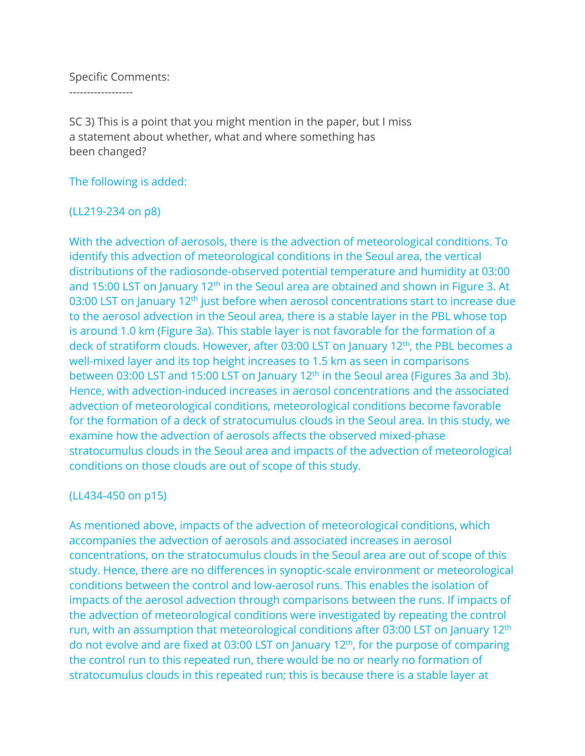### Specific Comments:

------------------

SC 3) This is a point that you might mention in the paper, but I miss a statement about whether, what and where something has been changed?

## The following is added:

### (LL219-234 on p8)

With the advection of aerosols, there is the advection of meteorological conditions. To identify this advection of meteorological conditions in the Seoul area, the vertical distributions of the radiosonde-observed potential temperature and humidity at 03:00 and 15:00 LST on January 12<sup>th</sup> in the Seoul area are obtained and shown in Figure 3. At 03:00 LST on January 12<sup>th</sup> just before when aerosol concentrations start to increase due to the aerosol advection in the Seoul area, there is a stable layer in the PBL whose top is around 1.0 km (Figure 3a). This stable layer is not favorable for the formation of a deck of stratiform clouds. However, after 03:00 LST on January 12<sup>th</sup>, the PBL becomes a well-mixed layer and its top height increases to 1.5 km as seen in comparisons between 03:00 LST and 15:00 LST on January 12<sup>th</sup> in the Seoul area (Figures 3a and 3b). Hence, with advection-induced increases in aerosol concentrations and the associated advection of meteorological conditions, meteorological conditions become favorable for the formation of a deck of stratocumulus clouds in the Seoul area. In this study, we examine how the advection of aerosols affects the observed mixed-phase stratocumulus clouds in the Seoul area and impacts of the advection of meteorological conditions on those clouds are out of scope of this study.

# (LL434-450 on p15)

As mentioned above, impacts of the advection of meteorological conditions, which accompanies the advection of aerosols and associated increases in aerosol concentrations, on the stratocumulus clouds in the Seoul area are out of scope of this study. Hence, there are no differences in synoptic-scale environment or meteorological conditions between the control and low-aerosol runs. This enables the isolation of impacts of the aerosol advection through comparisons between the runs. If impacts of the advection of meteorological conditions were investigated by repeating the control run, with an assumption that meteorological conditions after 03:00 LST on January 12<sup>th</sup> do not evolve and are fixed at 03:00 LST on January 12th, for the purpose of comparing the control run to this repeated run, there would be no or nearly no formation of stratocumulus clouds in this repeated run; this is because there is a stable layer at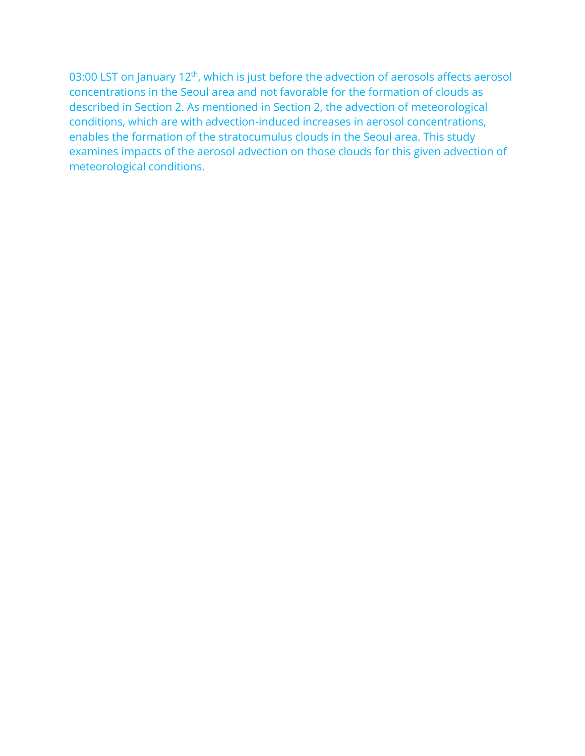03:00 LST on January 12<sup>th</sup>, which is just before the advection of aerosols affects aerosol concentrations in the Seoul area and not favorable for the formation of clouds as described in Section 2. As mentioned in Section 2, the advection of meteorological conditions, which are with advection-induced increases in aerosol concentrations, enables the formation of the stratocumulus clouds in the Seoul area. This study examines impacts of the aerosol advection on those clouds for this given advection of meteorological conditions.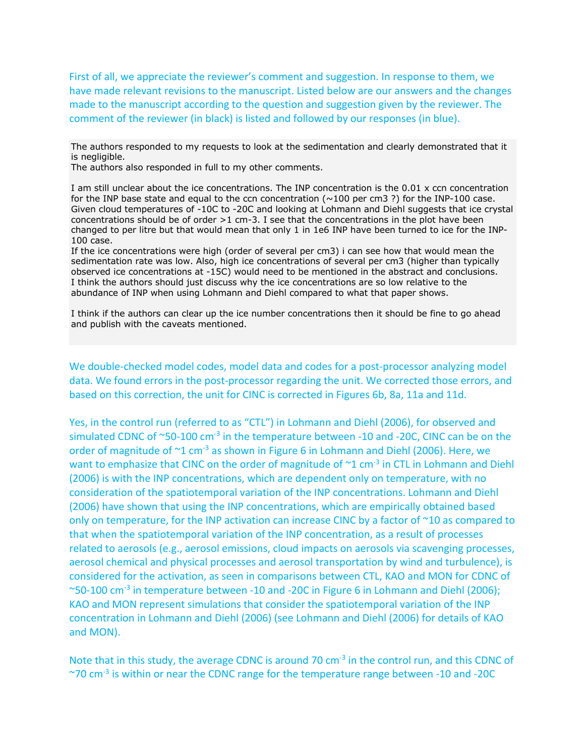First of all, we appreciate the reviewer's comment and suggestion. In response to them, we have made relevant revisions to the manuscript. Listed below are our answers and the changes made to the manuscript according to the question and suggestion given by the reviewer. The comment of the reviewer (in black) is listed and followed by our responses (in blue).

The authors responded to my requests to look at the sedimentation and clearly demonstrated that it is negligible.

The authors also responded in full to my other comments.

I am still unclear about the ice concentrations. The INP concentration is the 0.01 x ccn concentration for the INP base state and equal to the ccn concentration ( $\sim$ 100 per cm3 ?) for the INP-100 case. Given cloud temperatures of -10C to -20C and looking at Lohmann and Diehl suggests that ice crystal concentrations should be of order  $>1$  cm-3. I see that the concentrations in the plot have been changed to per litre but that would mean that only 1 in 1e6 INP have been turned to ice for the INP-100 case.

If the ice concentrations were high (order of several per cm3) i can see how that would mean the sedimentation rate was low. Also, high ice concentrations of several per cm3 (higher than typically observed ice concentrations at -15C) would need to be mentioned in the abstract and conclusions. I think the authors should just discuss why the ice concentrations are so low relative to the abundance of INP when using Lohmann and Diehl compared to what that paper shows.

I think if the authors can clear up the ice number concentrations then it should be fine to go ahead and publish with the caveats mentioned.

We double-checked model codes, model data and codes for a post-processor analyzing model data. We found errors in the post-processor regarding the unit. We corrected those errors, and based on this correction, the unit for CINC is corrected in Figures 6b, 8a, 11a and 11d.

Yes, in the control run (referred to as "CTL") in Lohmann and Diehl (2006), for observed and simulated CDNC of ~50-100 cm<sup>-3</sup> in the temperature between -10 and -20C, CINC can be on the order of magnitude of  $\sim$ 1 cm<sup>-3</sup> as shown in Figure 6 in Lohmann and Diehl (2006). Here, we want to emphasize that CINC on the order of magnitude of  $\gamma$ 1 cm<sup>-3</sup> in CTL in Lohmann and Diehl (2006) is with the INP concentrations, which are dependent only on temperature, with no consideration of the spatiotemporal variation of the INP concentrations. Lohmann and Diehl (2006) have shown that using the INP concentrations, which are empirically obtained based only on temperature, for the INP activation can increase CINC by a factor of ~10 as compared to that when the spatiotemporal variation of the INP concentration, as a result of processes related to aerosols (e.g., aerosol emissions, cloud impacts on aerosols via scavenging processes, aerosol chemical and physical processes and aerosol transportation by wind and turbulence), is considered for the activation, as seen in comparisons between CTL, KAO and MON for CDNC of ~50-100 cm-3 in temperature between -10 and -20C in Figure 6 in Lohmann and Diehl (2006); KAO and MON represent simulations that consider the spatiotemporal variation of the INP concentration in Lohmann and Diehl (2006) (see Lohmann and Diehl (2006) for details of KAO and MON).

Note that in this study, the average CDNC is around 70 cm<sup>-3</sup> in the control run, and this CDNC of ~70 cm-3 is within or near the CDNC range for the temperature range between -10 and -20C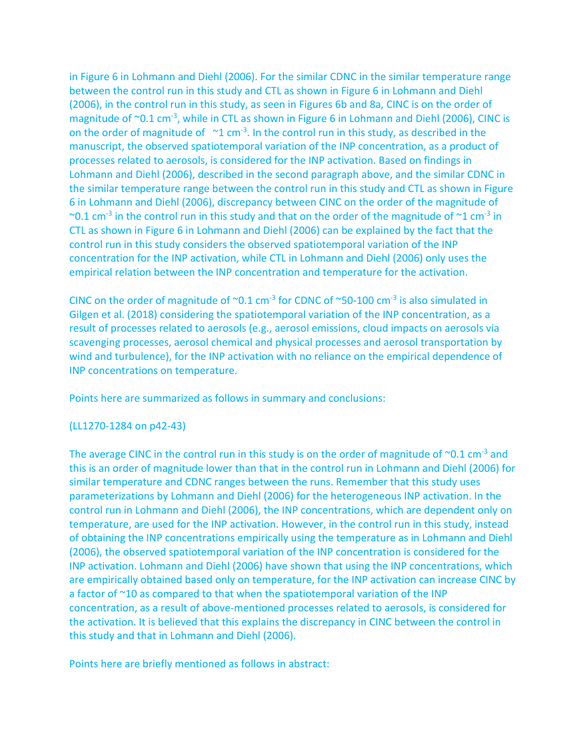in Figure 6 in Lohmann and Diehl (2006). For the similar CDNC in the similar temperature range between the control run in this study and CTL as shown in Figure 6 in Lohmann and Diehl (2006), in the control run in this study, as seen in Figures 6b and 8a, CINC is on the order of magnitude of ~0.1 cm<sup>-3</sup>, while in CTL as shown in Figure 6 in Lohmann and Diehl (2006), CINC is on the order of magnitude of  $\sim 1$  cm<sup>-3</sup>. In the control run in this study, as described in the manuscript, the observed spatiotemporal variation of the INP concentration, as a product of processes related to aerosols, is considered for the INP activation. Based on findings in Lohmann and Diehl (2006), described in the second paragraph above, and the similar CDNC in the similar temperature range between the control run in this study and CTL as shown in Figure 6 in Lohmann and Diehl (2006), discrepancy between CINC on the order of the magnitude of  $\sim$ 0.1 cm<sup>-3</sup> in the control run in this study and that on the order of the magnitude of  $\sim$ 1 cm<sup>-3</sup> in CTL as shown in Figure 6 in Lohmann and Diehl (2006) can be explained by the fact that the control run in this study considers the observed spatiotemporal variation of the INP concentration for the INP activation, while CTL in Lohmann and Diehl (2006) only uses the empirical relation between the INP concentration and temperature for the activation.

CINC on the order of magnitude of  $\sim 0.1$  cm<sup>-3</sup> for CDNC of  $\sim 50$ -100 cm<sup>-3</sup> is also simulated in Gilgen et al. (2018) considering the spatiotemporal variation of the INP concentration, as a result of processes related to aerosols (e.g., aerosol emissions, cloud impacts on aerosols via scavenging processes, aerosol chemical and physical processes and aerosol transportation by wind and turbulence), for the INP activation with no reliance on the empirical dependence of INP concentrations on temperature.

Points here are summarized as follows in summary and conclusions:

### (LL1270-1284 on p42-43)

The average CINC in the control run in this study is on the order of magnitude of  $\sim$ 0.1 cm<sup>-3</sup> and this is an order of magnitude lower than that in the control run in Lohmann and Diehl (2006) for similar temperature and CDNC ranges between the runs. Remember that this study uses parameterizations by Lohmann and Diehl (2006) for the heterogeneous INP activation. In the control run in Lohmann and Diehl (2006), the INP concentrations, which are dependent only on temperature, are used for the INP activation. However, in the control run in this study, instead of obtaining the INP concentrations empirically using the temperature as in Lohmann and Diehl (2006), the observed spatiotemporal variation of the INP concentration is considered for the INP activation. Lohmann and Diehl (2006) have shown that using the INP concentrations, which are empirically obtained based only on temperature, for the INP activation can increase CINC by a factor of ~10 as compared to that when the spatiotemporal variation of the INP concentration, as a result of above-mentioned processes related to aerosols, is considered for the activation. It is believed that this explains the discrepancy in CINC between the control in this study and that in Lohmann and Diehl (2006).

Points here are briefly mentioned as follows in abstract: